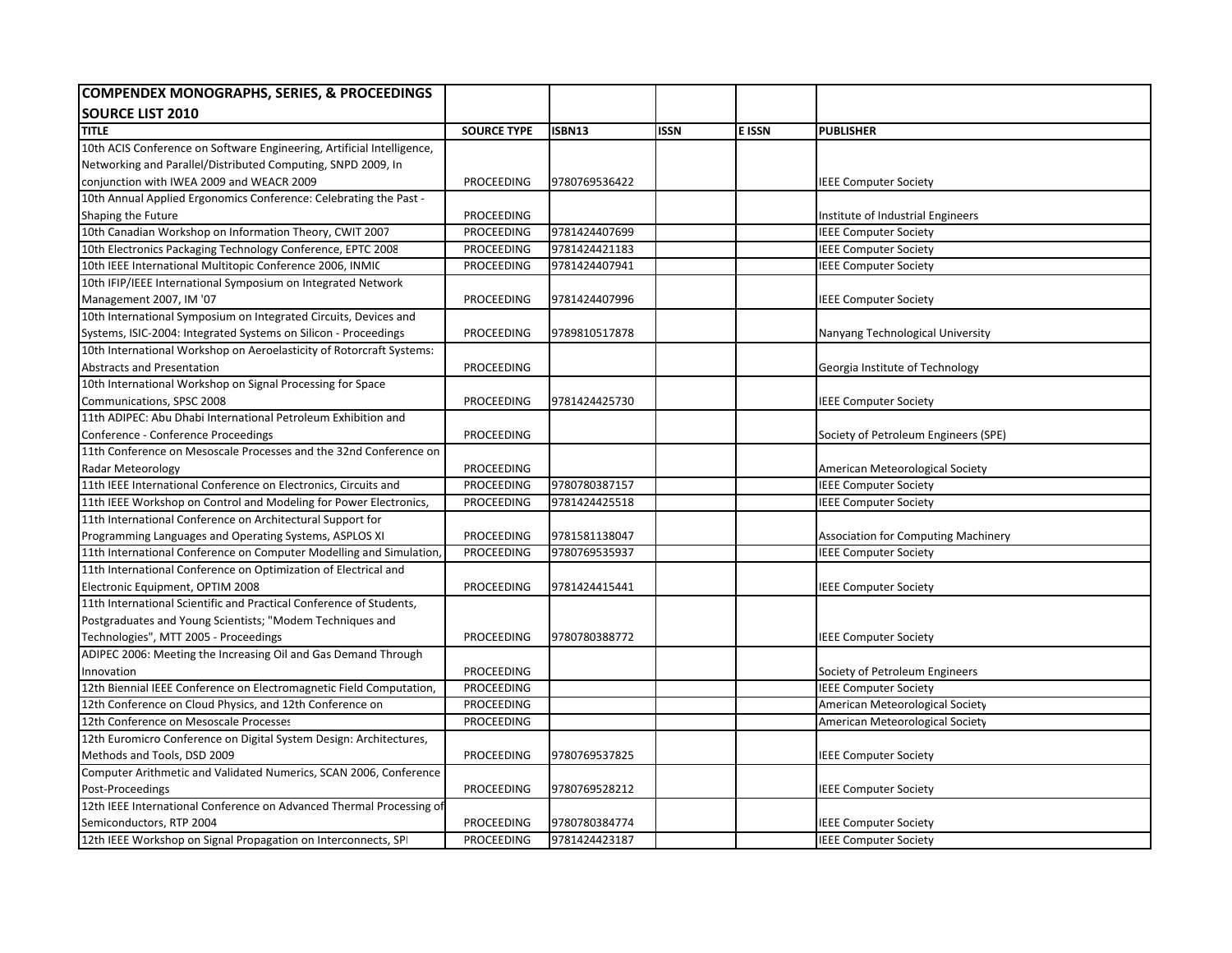| <b>COMPENDEX MONOGRAPHS, SERIES, &amp; PROCEEDINGS</b>                 |                    |               |             |               |                                        |
|------------------------------------------------------------------------|--------------------|---------------|-------------|---------------|----------------------------------------|
| <b>SOURCE LIST 2010</b>                                                |                    |               |             |               |                                        |
| <b>TITLE</b>                                                           | <b>SOURCE TYPE</b> | <b>ISBN13</b> | <b>ISSN</b> | <b>E ISSN</b> | <b>PUBLISHER</b>                       |
| 10th ACIS Conference on Software Engineering, Artificial Intelligence, |                    |               |             |               |                                        |
| Networking and Parallel/Distributed Computing, SNPD 2009, In           |                    |               |             |               |                                        |
| conjunction with IWEA 2009 and WEACR 2009                              | PROCEEDING         | 9780769536422 |             |               | <b>IEEE Computer Society</b>           |
| 10th Annual Applied Ergonomics Conference: Celebrating the Past -      |                    |               |             |               |                                        |
| Shaping the Future                                                     | <b>PROCEEDING</b>  |               |             |               | Institute of Industrial Engineers      |
| 10th Canadian Workshop on Information Theory, CWIT 2007                | <b>PROCEEDING</b>  | 9781424407699 |             |               | <b>IEEE Computer Society</b>           |
| 10th Electronics Packaging Technology Conference, EPTC 2008            | PROCEEDING         | 9781424421183 |             |               | <b>IEEE Computer Society</b>           |
| 10th IEEE International Multitopic Conference 2006, INMIC              | PROCEEDING         | 9781424407941 |             |               | <b>IEEE Computer Society</b>           |
| 10th IFIP/IEEE International Symposium on Integrated Network           |                    |               |             |               |                                        |
| Management 2007, IM '07                                                | PROCEEDING         | 9781424407996 |             |               | <b>IEEE Computer Society</b>           |
| 10th International Symposium on Integrated Circuits, Devices and       |                    |               |             |               |                                        |
| Systems, ISIC-2004: Integrated Systems on Silicon - Proceedings        | PROCEEDING         | 9789810517878 |             |               | Nanyang Technological University       |
| 10th International Workshop on Aeroelasticity of Rotorcraft Systems:   |                    |               |             |               |                                        |
| <b>Abstracts and Presentation</b>                                      | <b>PROCEEDING</b>  |               |             |               | Georgia Institute of Technology        |
| 10th International Workshop on Signal Processing for Space             |                    |               |             |               |                                        |
| Communications, SPSC 2008                                              | PROCEEDING         | 9781424425730 |             |               | <b>IEEE Computer Society</b>           |
| 11th ADIPEC: Abu Dhabi International Petroleum Exhibition and          |                    |               |             |               |                                        |
| Conference - Conference Proceedings                                    | PROCEEDING         |               |             |               | Society of Petroleum Engineers (SPE)   |
| 11th Conference on Mesoscale Processes and the 32nd Conference on      |                    |               |             |               |                                        |
| Radar Meteorology                                                      | PROCEEDING         |               |             |               | American Meteorological Society        |
| 11th IEEE International Conference on Electronics, Circuits and        | PROCEEDING         | 9780780387157 |             |               | <b>IEEE Computer Society</b>           |
| 11th IEEE Workshop on Control and Modeling for Power Electronics,      | <b>PROCEEDING</b>  | 9781424425518 |             |               | <b>IEEE Computer Society</b>           |
| 11th International Conference on Architectural Support for             |                    |               |             |               |                                        |
| Programming Languages and Operating Systems, ASPLOS XI                 | PROCEEDING         | 9781581138047 |             |               | Association for Computing Machinery    |
| 11th International Conference on Computer Modelling and Simulation,    | <b>PROCEEDING</b>  | 9780769535937 |             |               | <b>IEEE Computer Society</b>           |
| 11th International Conference on Optimization of Electrical and        |                    |               |             |               |                                        |
| Electronic Equipment, OPTIM 2008                                       | PROCEEDING         | 9781424415441 |             |               | <b>IEEE Computer Society</b>           |
| 11th International Scientific and Practical Conference of Students,    |                    |               |             |               |                                        |
| Postgraduates and Young Scientists; "Modem Techniques and              |                    |               |             |               |                                        |
| Technologies", MTT 2005 - Proceedings                                  | PROCEEDING         | 9780780388772 |             |               | <b>IEEE Computer Society</b>           |
| ADIPEC 2006: Meeting the Increasing Oil and Gas Demand Through         |                    |               |             |               |                                        |
| Innovation                                                             | PROCEEDING         |               |             |               | Society of Petroleum Engineers         |
| 12th Biennial IEEE Conference on Electromagnetic Field Computation,    | <b>PROCEEDING</b>  |               |             |               | <b>IEEE Computer Society</b>           |
| 12th Conference on Cloud Physics, and 12th Conference on               | PROCEEDING         |               |             |               | <b>American Meteorological Society</b> |
| 12th Conference on Mesoscale Processes                                 | PROCEEDING         |               |             |               | American Meteorological Society        |
| 12th Euromicro Conference on Digital System Design: Architectures,     |                    |               |             |               |                                        |
| Methods and Tools, DSD 2009                                            | <b>PROCEEDING</b>  | 9780769537825 |             |               | <b>IEEE Computer Society</b>           |
| Computer Arithmetic and Validated Numerics, SCAN 2006, Conference      |                    |               |             |               |                                        |
| Post-Proceedings                                                       | PROCEEDING         | 9780769528212 |             |               | <b>IEEE Computer Society</b>           |
| 12th IEEE International Conference on Advanced Thermal Processing of   |                    |               |             |               |                                        |
| Semiconductors, RTP 2004                                               | PROCEEDING         | 9780780384774 |             |               | <b>IEEE Computer Society</b>           |
| 12th IEEE Workshop on Signal Propagation on Interconnects, SPI         | <b>PROCEEDING</b>  | 9781424423187 |             |               | <b>IEEE Computer Society</b>           |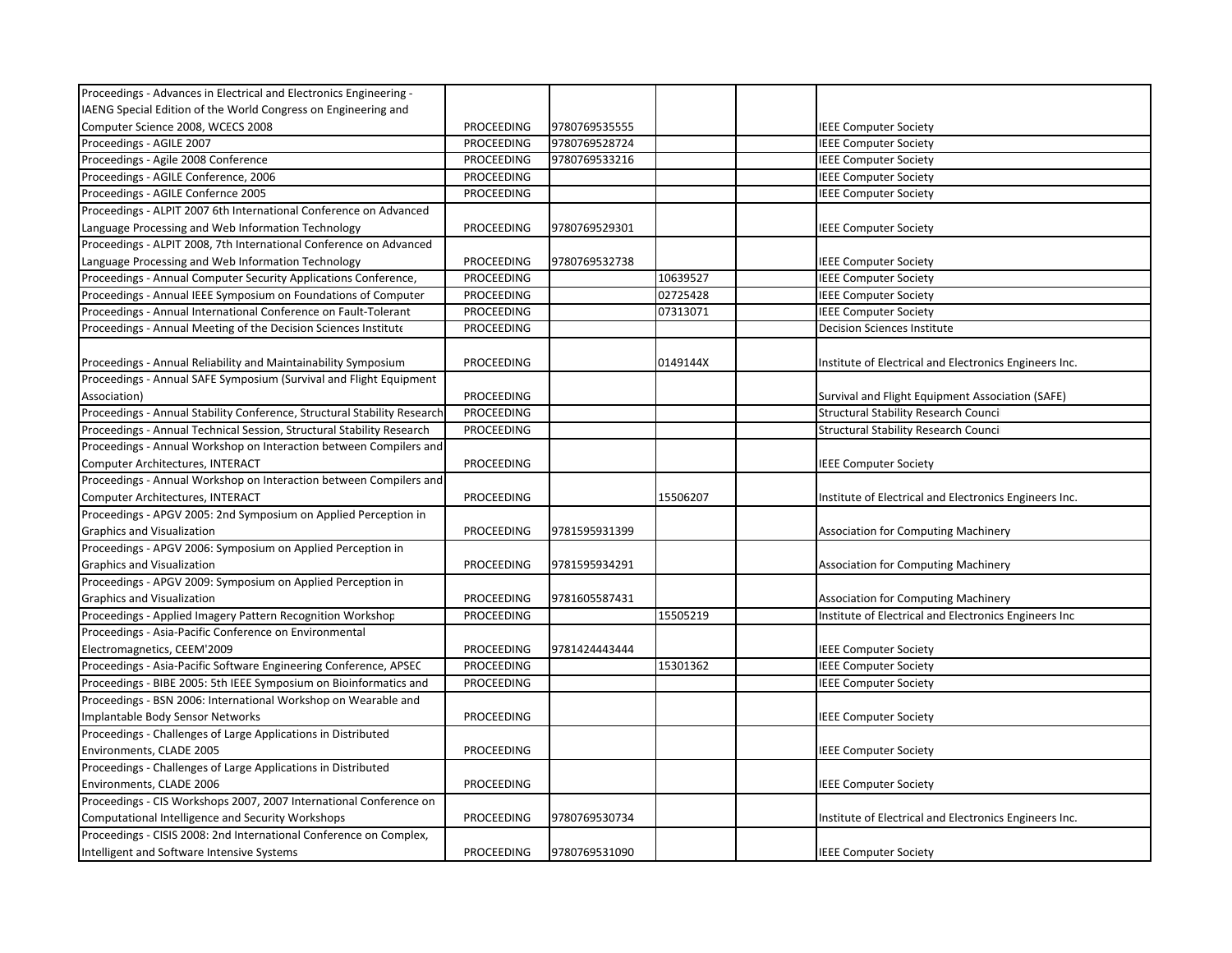| Proceedings - Advances in Electrical and Electronics Engineering -       |                   |               |          |                                                        |
|--------------------------------------------------------------------------|-------------------|---------------|----------|--------------------------------------------------------|
| IAENG Special Edition of the World Congress on Engineering and           |                   |               |          |                                                        |
| Computer Science 2008, WCECS 2008                                        | PROCEEDING        | 9780769535555 |          | <b>IEEE Computer Society</b>                           |
| Proceedings - AGILE 2007                                                 | <b>PROCEEDING</b> | 9780769528724 |          | <b>IEEE Computer Society</b>                           |
| Proceedings - Agile 2008 Conference                                      | PROCEEDING        | 9780769533216 |          | <b>IEEE Computer Society</b>                           |
| Proceedings - AGILE Conference, 2006                                     | PROCEEDING        |               |          | <b>IEEE Computer Society</b>                           |
| Proceedings - AGILE Confernce 2005                                       | <b>PROCEEDING</b> |               |          | <b>IEEE Computer Society</b>                           |
| Proceedings - ALPIT 2007 6th International Conference on Advanced        |                   |               |          |                                                        |
| Language Processing and Web Information Technology                       | PROCEEDING        | 9780769529301 |          | <b>IEEE Computer Society</b>                           |
| Proceedings - ALPIT 2008, 7th International Conference on Advanced       |                   |               |          |                                                        |
| Language Processing and Web Information Technology                       | PROCEEDING        | 9780769532738 |          | <b>IEEE Computer Society</b>                           |
| Proceedings - Annual Computer Security Applications Conference,          | PROCEEDING        |               | 10639527 | <b>IEEE Computer Society</b>                           |
| Proceedings - Annual IEEE Symposium on Foundations of Computer           | <b>PROCEEDING</b> |               | 02725428 | <b>IEEE Computer Society</b>                           |
| Proceedings - Annual International Conference on Fault-Tolerant          | <b>PROCEEDING</b> |               | 07313071 | <b>IEEE Computer Society</b>                           |
| Proceedings - Annual Meeting of the Decision Sciences Institute          | PROCEEDING        |               |          | <b>Decision Sciences Institute</b>                     |
|                                                                          |                   |               |          |                                                        |
| Proceedings - Annual Reliability and Maintainability Symposium           | PROCEEDING        |               | 0149144X | Institute of Electrical and Electronics Engineers Inc. |
| Proceedings - Annual SAFE Symposium (Survival and Flight Equipment       |                   |               |          |                                                        |
| Association)                                                             | PROCEEDING        |               |          | Survival and Flight Equipment Association (SAFE)       |
| Proceedings - Annual Stability Conference, Structural Stability Research | <b>PROCEEDING</b> |               |          | <b>Structural Stability Research Council</b>           |
| Proceedings - Annual Technical Session, Structural Stability Research    | PROCEEDING        |               |          | <b>Structural Stability Research Counci</b>            |
| Proceedings - Annual Workshop on Interaction between Compilers and       |                   |               |          |                                                        |
| Computer Architectures, INTERACT                                         | PROCEEDING        |               |          | <b>IEEE Computer Society</b>                           |
| Proceedings - Annual Workshop on Interaction between Compilers and       |                   |               |          |                                                        |
| Computer Architectures, INTERACT                                         | PROCEEDING        |               | 15506207 | Institute of Electrical and Electronics Engineers Inc. |
| Proceedings - APGV 2005: 2nd Symposium on Applied Perception in          |                   |               |          |                                                        |
| Graphics and Visualization                                               | PROCEEDING        | 9781595931399 |          | <b>Association for Computing Machinery</b>             |
| Proceedings - APGV 2006: Symposium on Applied Perception in              |                   |               |          |                                                        |
| <b>Graphics and Visualization</b>                                        | PROCEEDING        | 9781595934291 |          | <b>Association for Computing Machinery</b>             |
| Proceedings - APGV 2009: Symposium on Applied Perception in              |                   |               |          |                                                        |
| <b>Graphics and Visualization</b>                                        | PROCEEDING        | 9781605587431 |          | Association for Computing Machinery                    |
| Proceedings - Applied Imagery Pattern Recognition Workshop               | PROCEEDING        |               | 15505219 | Institute of Electrical and Electronics Engineers Inc  |
| Proceedings - Asia-Pacific Conference on Environmental                   |                   |               |          |                                                        |
| Electromagnetics, CEEM'2009                                              | PROCEEDING        | 9781424443444 |          | <b>IEEE Computer Society</b>                           |
| Proceedings - Asia-Pacific Software Engineering Conference, APSEC        | PROCEEDING        |               | 15301362 | <b>IEEE Computer Society</b>                           |
| Proceedings - BIBE 2005: 5th IEEE Symposium on Bioinformatics and        | PROCEEDING        |               |          | <b>IEEE Computer Society</b>                           |
| Proceedings - BSN 2006: International Workshop on Wearable and           |                   |               |          |                                                        |
| Implantable Body Sensor Networks                                         | PROCEEDING        |               |          | <b>IEEE Computer Society</b>                           |
| Proceedings - Challenges of Large Applications in Distributed            |                   |               |          |                                                        |
| Environments, CLADE 2005                                                 | PROCEEDING        |               |          | <b>IEEE Computer Society</b>                           |
| Proceedings - Challenges of Large Applications in Distributed            |                   |               |          |                                                        |
| Environments, CLADE 2006                                                 | PROCEEDING        |               |          | <b>IEEE Computer Society</b>                           |
| Proceedings - CIS Workshops 2007, 2007 International Conference on       |                   |               |          |                                                        |
| Computational Intelligence and Security Workshops                        | PROCEEDING        | 9780769530734 |          | Institute of Electrical and Electronics Engineers Inc. |
| Proceedings - CISIS 2008: 2nd International Conference on Complex,       |                   |               |          |                                                        |
| Intelligent and Software Intensive Systems                               | <b>PROCEEDING</b> | 9780769531090 |          | <b>IEEE Computer Society</b>                           |